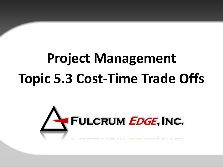# **Project Management Topic 5.3 Cost-Time Trade Offs**

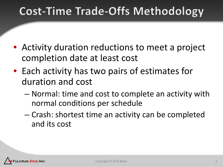## **Cost-Time Trade-Offs Methodology**

- Activity duration reductions to meet a project completion date at least cost
- Each activity has two pairs of estimates for duration and cost
	- Normal: time and cost to complete an activity with normal conditions per schedule
	- Crash: shortest time an activity can be completed and its cost

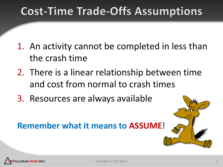### **Cost-Time Trade-Offs Assumptions**

- 1. An activity cannot be completed in less than the crash time
- 2. There is a linear relationship between time and cost from normal to crash times
- 3. Resources are always available

#### **Remember what it means to ASSUME!**

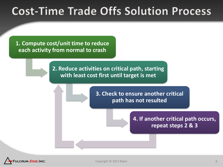### **Cost-Time Trade Offs Solution Process**

**1. Compute cost/unit time to reduce each activity from normal to crash**

> **2. Reduce activities on critical path, starting with least cost first until target is met**

> > **3. Check to ensure another critical path has not resulted**

> > > **4. If another critical path occurs, repeat steps 2 & 3**

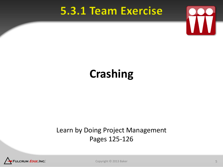### 5.3.1 Team Exercise



# **Crashing**

#### Learn by Doing Project Management Pages 125-126



Copyright © 2013 Baker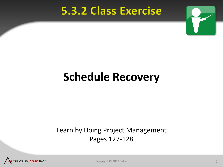### **5.3.2 Class Exercise**



# **Schedule Recovery**

#### Learn by Doing Project Management Pages 127-128



Copyright © 2013 Baker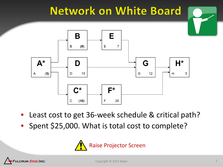

- Least cost to get 36-week schedule & critical path?
- Spent \$25,000. What is total cost to complete?